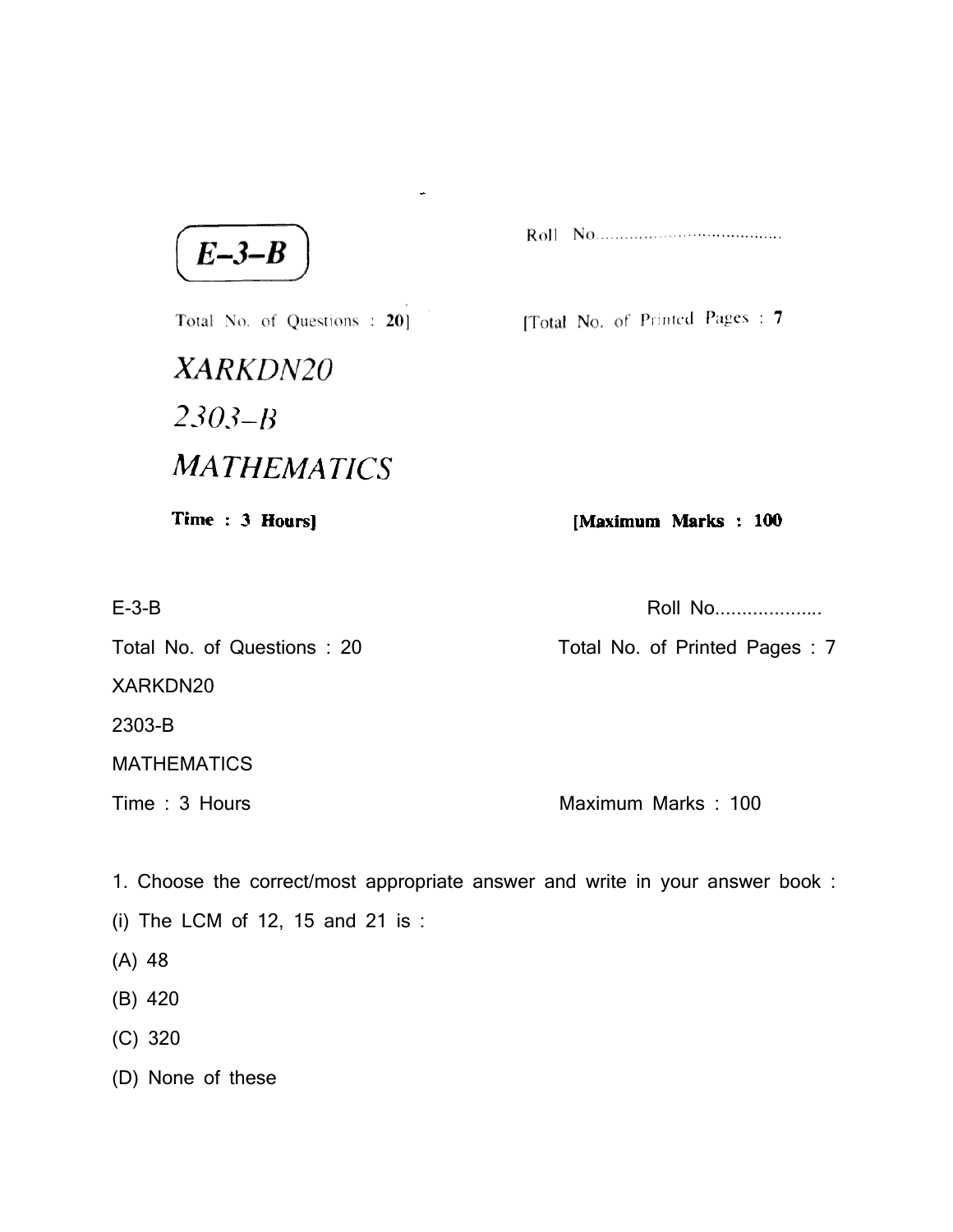$E-3-B$ 

[Total No. of Printed Pages: 7

Total No. of Questions : 20] XARKDN20  $2303 - B$ **MATHEMATICS** 

÷.

Time: 3 Hours]

[Maximum Marks: 100

E-3-B Roll No....................

Total No. of Questions : 20 Total No. of Printed Pages : 7

XARKDN20

2303-B

MATHEMATICS

Time : 3 Hours **Maximum Marks** : 100

1. Choose the correct/most appropriate answer and write in your answer book :

- (i) The LCM of 12, 15 and 21 is :
- (A) 48
- (B) 420
- (C) 320

(D) None of these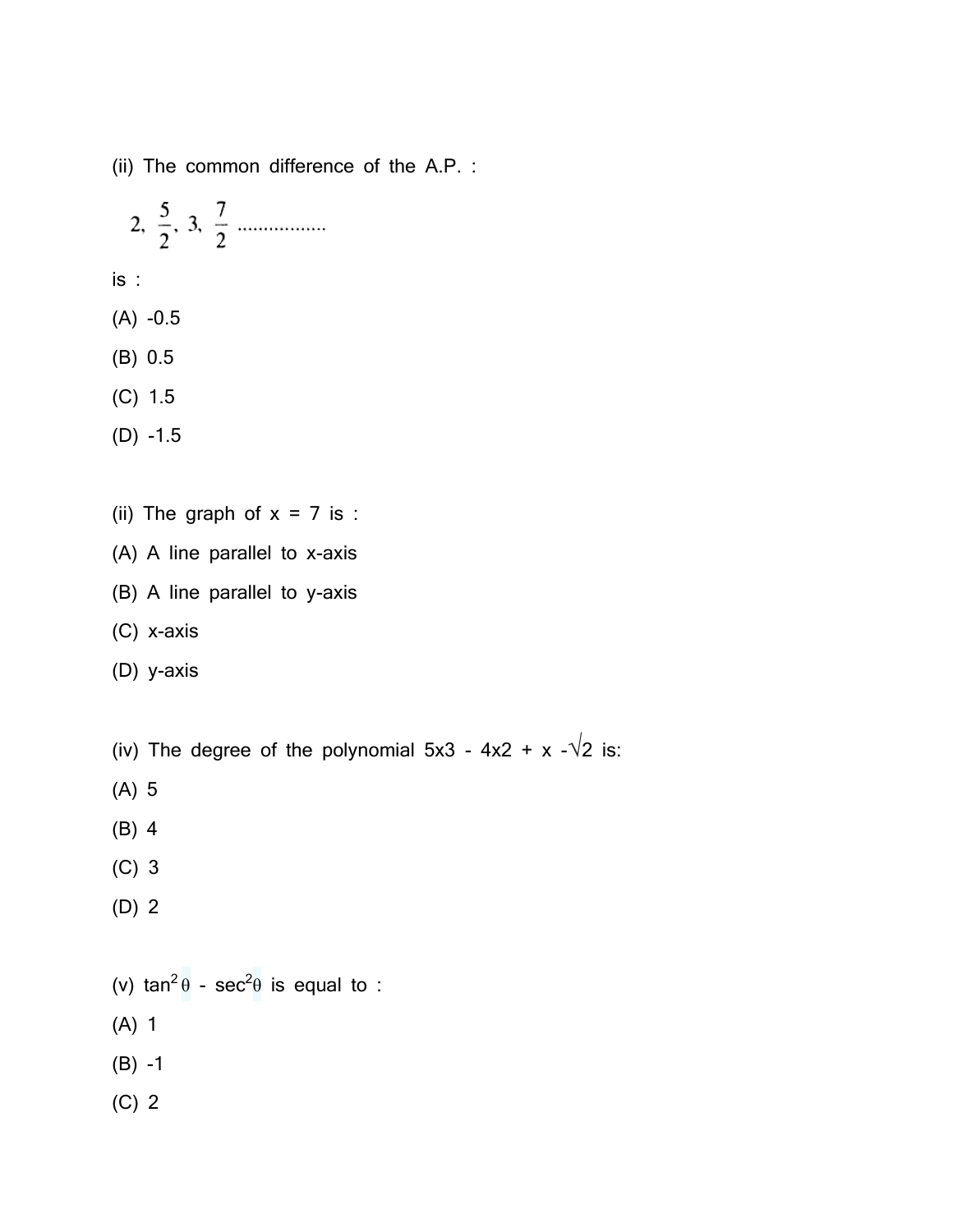(ii) The common difference of the A.P. :

2, 
$$
\frac{5}{2}
$$
, 3,  $\frac{7}{2}$ 

is :

- (A) -0.5
- (B) 0.5

(C) 1.5

(D) -1.5

- (ii) The graph of  $x = 7$  is :
- (A) A line parallel to x-axis
- (B) A line parallel to y-axis
- (C) x-axis
- (D) y-axis
- (iv) The degree of the polynomial  $5x3 4x2 + x \sqrt{2}$  is:
- (A) 5
- (B) 4
- (C) 3
- (D) 2
- (v) tan<sup>2</sup> $\theta$  sec<sup>2</sup> $\theta$  is equal to :
- (A) 1
- (B) -1
- (C) 2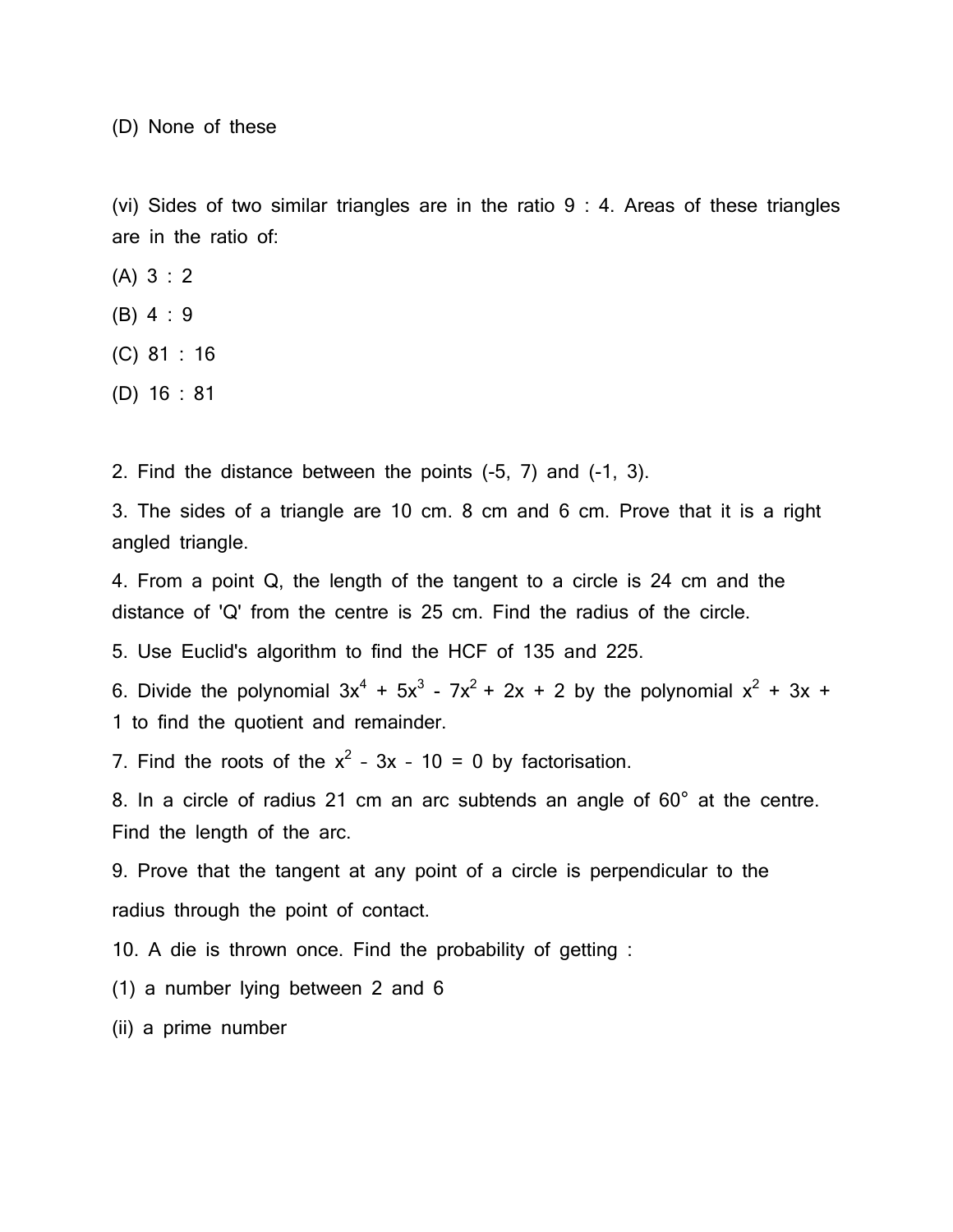(D) None of these

(vi) Sides of two similar triangles are in the ratio 9 : 4. Areas of these triangles are in the ratio of:

(A) 3 : 2

- (B) 4 : 9
- (C) 81 : 16
- (D) 16 : 81

2. Find the distance between the points (-5, 7) and (-1, 3).

3. The sides of a triangle are 10 cm. 8 cm and 6 cm. Prove that it is a right angled triangle.

4. From a point Q, the length of the tangent to a circle is 24 cm and the distance of 'Q' from the centre is 25 cm. Find the radius of the circle.

5. Use Euclid's algorithm to find the HCF of 135 and 225.

6. Divide the polynomial  $3x^4 + 5x^3 - 7x^2 + 2x + 2$  by the polynomial  $x^2 + 3x + 1$ 1 to find the quotient and remainder.

7. Find the roots of the  $x^2 - 3x - 10 = 0$  by factorisation.

8. In a circle of radius 21 cm an arc subtends an angle of 60° at the centre. Find the length of the arc.

9. Prove that the tangent at any point of a circle is perpendicular to the radius through the point of contact.

10. A die is thrown once. Find the probability of getting :

(1) a number lying between 2 and 6

(ii) a prime number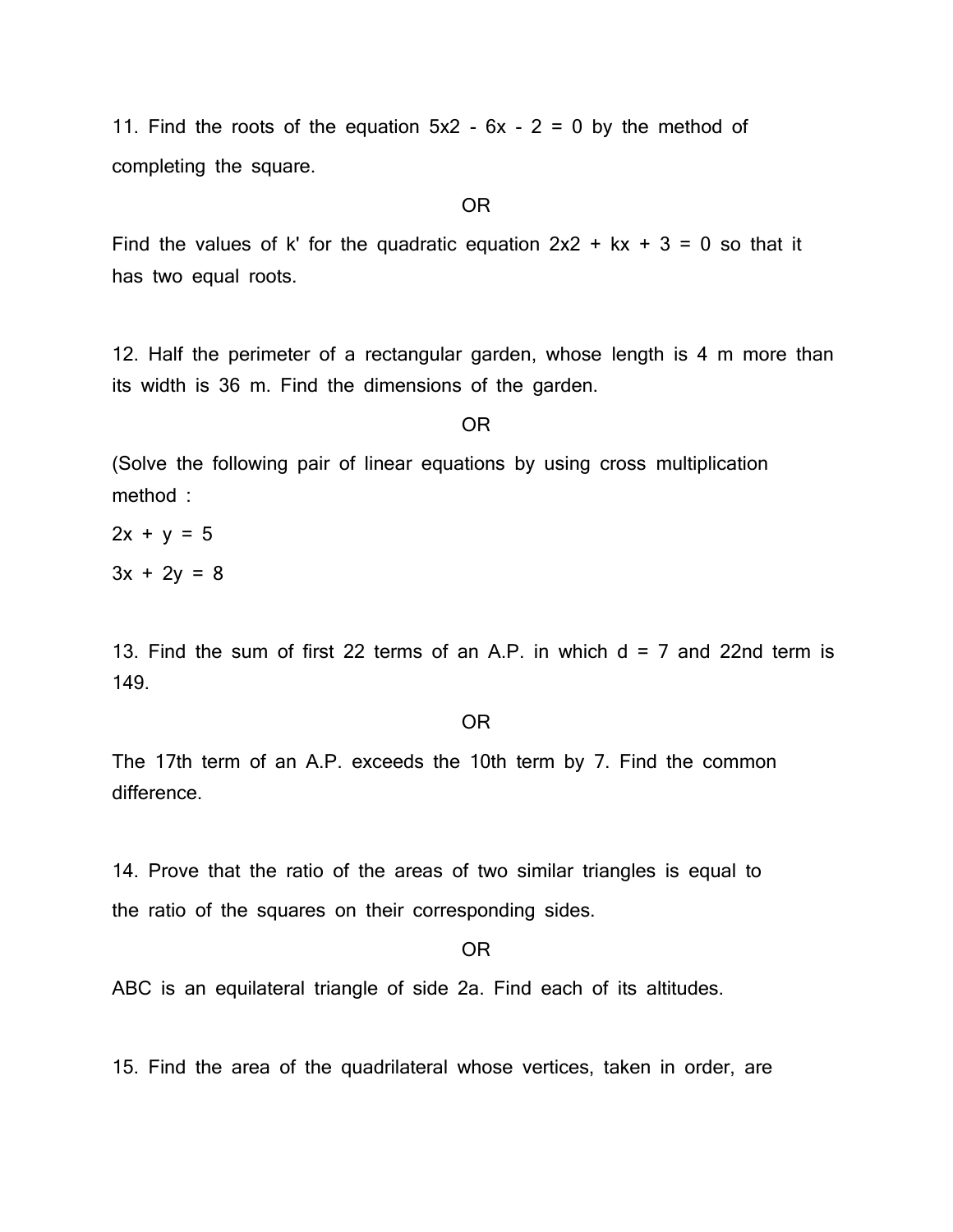11. Find the roots of the equation  $5x^2 - 6x - 2 = 0$  by the method of completing the square.

# OR

Find the values of k' for the quadratic equation  $2x^2 + kx + 3 = 0$  so that it has two equal roots.

12. Half the perimeter of a rectangular garden, whose length is 4 m more than its width is 36 m. Find the dimensions of the garden.

#### OR

(Solve the following pair of linear equations by using cross multiplication method :

 $2x + y = 5$  $3x + 2y = 8$ 

13. Find the sum of first 22 terms of an A.P. in which  $d = 7$  and 22nd term is 149.

## OR

The 17th term of an A.P. exceeds the 10th term by 7. Find the common difference.

14. Prove that the ratio of the areas of two similar triangles is equal to the ratio of the squares on their corresponding sides.

## OR

ABC is an equilateral triangle of side 2a. Find each of its altitudes.

15. Find the area of the quadrilateral whose vertices, taken in order, are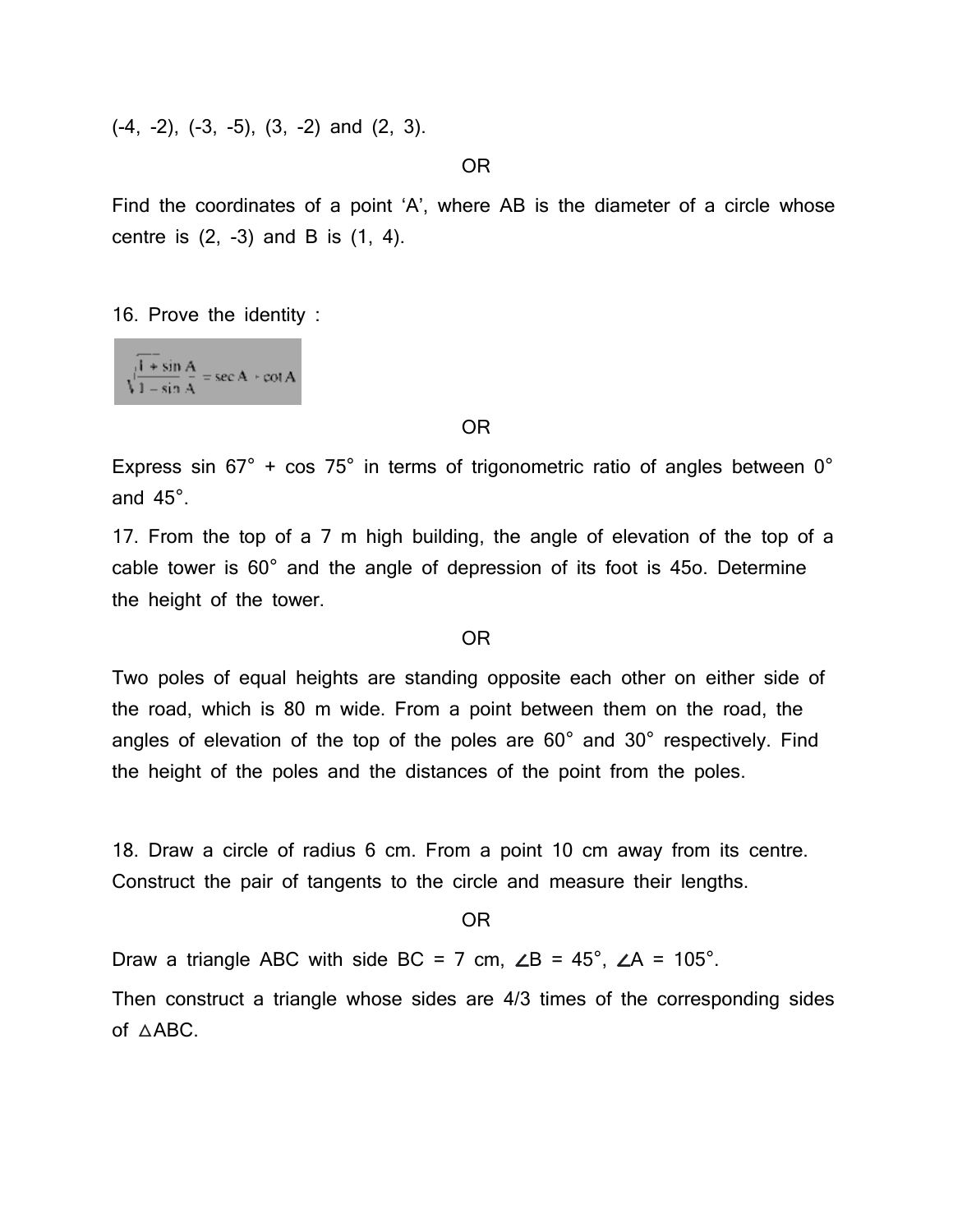(-4, -2), (-3, -5), (3, -2) and (2, 3).

OR

Find the coordinates of a point 'A', where AB is the diameter of a circle whose centre is  $(2, -3)$  and B is  $(1, 4)$ .

16. Prove the identity :

 $\int \frac{1 + \sin A}{1 - \sin A} = \sec A + \cot A$ 

#### OR

Express sin  $67^\circ$  + cos  $75^\circ$  in terms of trigonometric ratio of angles between  $0^\circ$ and 45°.

17. From the top of a 7 m high building, the angle of elevation of the top of a cable tower is 60° and the angle of depression of its foot is 45o. Determine the height of the tower.

### OR

Two poles of equal heights are standing opposite each other on either side of the road, which is 80 m wide. From a point between them on the road, the angles of elevation of the top of the poles are 60° and 30° respectively. Find the height of the poles and the distances of the point from the poles.

18. Draw a circle of radius 6 cm. From a point 10 cm away from its centre. Construct the pair of tangents to the circle and measure their lengths.

OR

Draw a triangle ABC with side BC = 7 cm,  $\angle B = 45^\circ$ ,  $\angle A = 105^\circ$ .

Then construct a triangle whose sides are 4/3 times of the corresponding sides of △ABC.